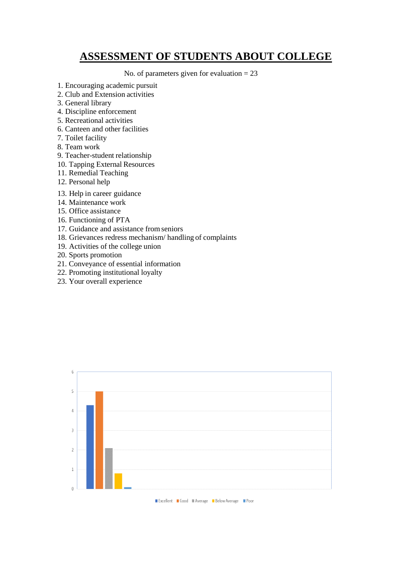## **ASSESSMENT OF STUDENTS ABOUT COLLEGE**

No. of parameters given for evaluation  $= 23$ 

- 1. Encouraging academic pursuit
- 2. Club and Extension activities
- 3. General library
- 4. Discipline enforcement
- 5. Recreational activities
- 6. Canteen and other facilities
- 7. Toilet facility
- 8. Team work
- 9. Teacher-student relationship
- 10. Tapping External Resources
- 11. Remedial Teaching
- 12. Personal help
- 13. Help in career guidance
- 14. Maintenance work
- 15. Office assistance
- 16. Functioning of PTA
- 17. Guidance and assistance fromseniors
- 18. Grievances redress mechanism/ handling of complaints
- 19. Activities of the college union
- 20. Sports promotion
- 21. Conveyance of essential information
- 22. Promoting institutional loyalty
- 23. Your overall experience

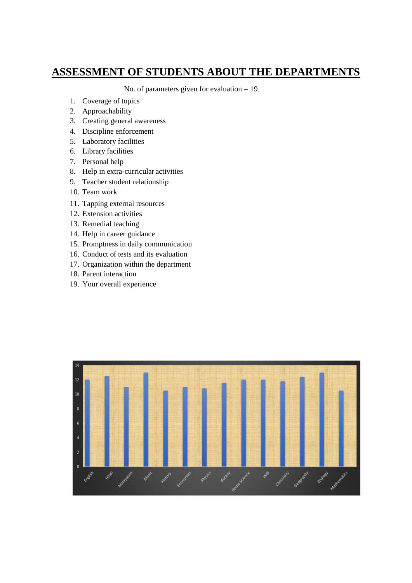## **ASSESSMENT OF STUDENTS ABOUT THE DEPARTMENTS**

No. of parameters given for evaluation = 19

- 1. Coverage of topics
- 2. Approachability
- 3. Creating general awareness
- 4. Discipline enforcement
- 5. Laboratory facilities
- 6. Library facilities
- 7. Personal help
- 8. Help in extra-curricular activities
- 9. Teacher student relationship
- 10. Team work
- 11. Tapping external resources
- 12. Extension activities
- 13. Remedial teaching
- 14. Help in career guidance
- 15. Promptness in daily communication
- 16. Conduct of tests and its evaluation
- 17. Organization within the department
- 18. Parent interaction
- 19. Your overall experience